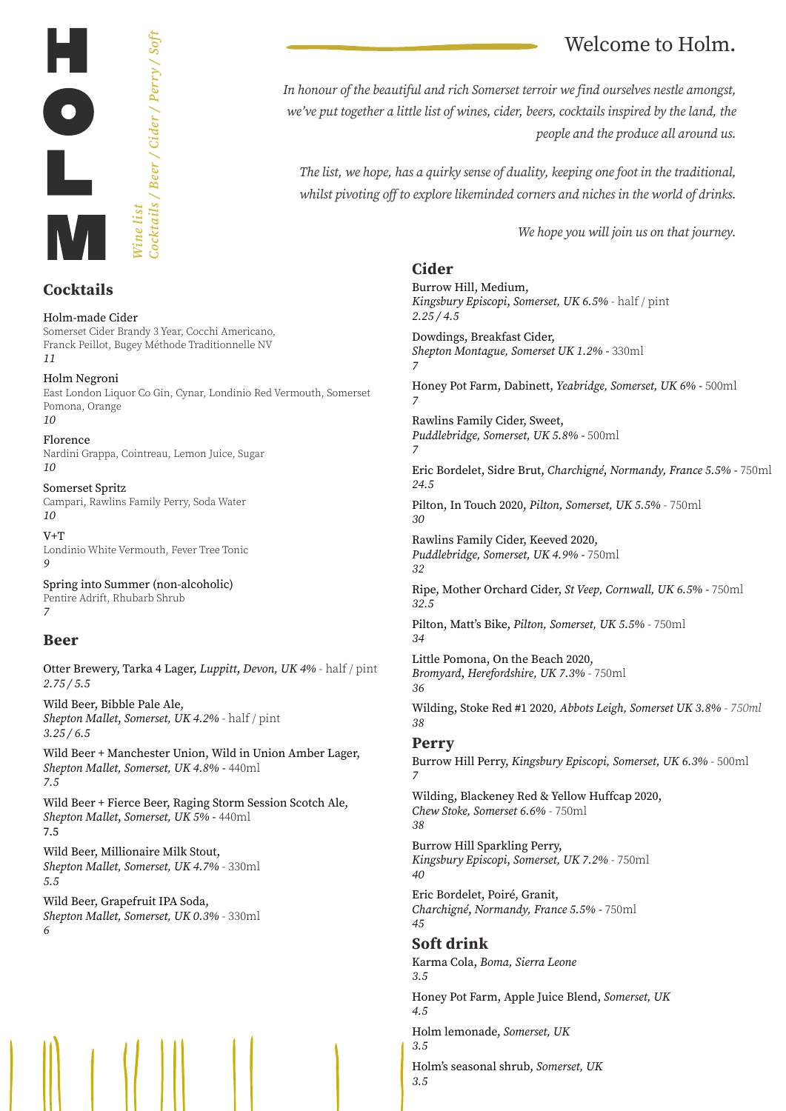

## **Cocktails**

Holm-made Cider Somerset Cider Brandy 3 Year, Cocchi Americano, Franck Peillot, Bugey Méthode Traditionnelle NV *11*

Holm Negroni East London Liquor Co Gin, Cynar, Londinio Red Vermouth, Somerset Pomona, Orange *10*

Florence Nardini Grappa, Cointreau, Lemon Juice, Sugar *10*

Somerset Spritz Campari, Rawlins Family Perry, Soda Water *10*

 $V+T$ Londinio White Vermouth, Fever Tree Tonic *9*

Spring into Summer (non-alcoholic) Pentire Adrift, Rhubarb Shrub *7* 

### **Beer**

Otter Brewery, Tarka 4 Lager, *Luppitt*, *Devon, UK 4%* - half / pint *2.75 / 5.5*

Wild Beer, Bibble Pale Ale, *Shepton Mallet*, *Somerset, UK 4.2%* - half / pint *3.25 / 6.5*

Wild Beer + Manchester Union, Wild in Union Amber Lager, *Shepton Mallet, Somerset, UK 4.8% -* 440ml *7.5*

Wild Beer + Fierce Beer, Raging Storm Session Scotch Ale, *Shepton Mallet*, *Somerset, UK 5%* - 440ml 7.5

Wild Beer, Millionaire Milk Stout, *Shepton Mallet, Somerset, UK 4.7%* - 330ml *5.5*

Wild Beer, Grapefruit IPA Soda, *Shepton Mallet, Somerset, UK 0.3%* - 330ml *6*

# Welcome to Holm.

*In honour of the beautiful and rich Somerset terroir we find ourselves nestle amongst, we've put together a little list of wines, cider, beers, cocktails inspired by the land, the people and the produce all around us.*

*The list, we hope, has a quirky sense of duality, keeping one foot in the traditional, whilst pivoting off to explore likeminded corners and niches in the world of drinks.* 

*We hope you will join us on that journey.* 

## **Cider**

Burrow Hill, Medium, *Kingsbury Episcopi*, *Somerset, UK 6.5%* - half / pint *2.25 / 4.5*  Dowdings, Breakfast Cider, *Shepton Montague, Somerset UK 1.2% -* 330ml *7* Honey Pot Farm, Dabinett, *Yeabridge, Somerset, UK 6% -* 500ml *7* Rawlins Family Cider, Sweet, *Puddlebridge, Somerset, UK 5.8% -* 500ml *7* Eric Bordelet, Sidre Brut, *Charchigné*, *Normandy, France 5.5% -* 750ml *24.5* Pilton, In Touch 2020, *Pilton, Somerset, UK 5.5%* - 750ml *30* Rawlins Family Cider, Keeved 2020, *Puddlebridge, Somerset, UK 4.9% -* 750ml *32* Ripe, Mother Orchard Cider, *St Veep, Cornwall, UK 6.5% -* 750ml *32.5* Pilton, Matt's Bike, *Pilton, Somerset, UK 5.5%* - 750ml *34* Little Pomona, On the Beach 2020, *Bromyard*, *Herefordshire, UK 7.3%* - 750ml *36* Wilding, Stoke Red #1 2020*, Abbots Leigh, Somerset UK 3.8% - 750ml 38* **Perry** Burrow Hill Perry, *Kingsbury Episcopi, Somerset, UK 6.3%* - 500ml *7* Wilding, Blackeney Red & Yellow Huffcap 2020, *Chew Stoke, Somerset 6.6%* - 750ml *38* Burrow Hill Sparkling Perry, *Kingsbury Episcopi*, *Somerset, UK 7.2%* - 750ml *40* Eric Bordelet, Poiré, Granit, *Charchigné*, *Normandy, France 5.5% -* 750ml *45* **Soft drink** Karma Cola, *Boma, Sierra Leone 3.5* Honey Pot Farm, Apple Juice Blend, *Somerset, UK 4.5* Holm lemonade, *Somerset, UK 3.5*

Holm's seasonal shrub, *Somerset, UK 3.5*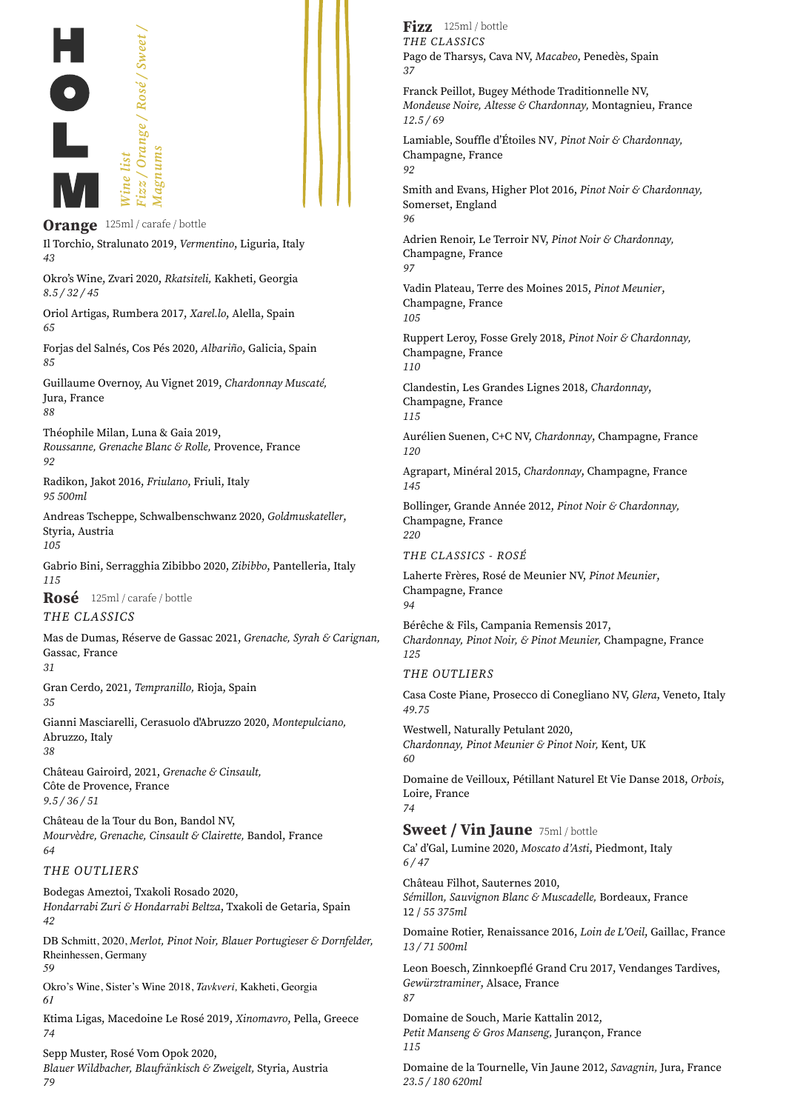

**Orange** 125ml / carafe / bottle Il Torchio, Stralunato 2019, *Vermentino*, Liguria, Italy *43*

Okro's Wine, Zvari 2020, *Rkatsiteli,* Kakheti, Georgia *8.5 / 32 / 45*

Oriol Artigas, Rumbera 2017, *Xarel.lo*, Alella, Spain *65*

Forjas del Salnés, Cos Pés 2020, *Albariño*, Galicia, Spain *85*

Guillaume Overnoy, Au Vignet 2019, *Chardonnay Muscaté,*  Jura, France *88*

Théophile Milan, Luna & Gaia 2019,

*Roussanne, Grenache Blanc & Rolle,* Provence, France *92*

Radikon, Jakot 2016, *Friulano*, Friuli, Italy *95 500ml*

Andreas Tscheppe, Schwalbenschwanz 2020, *Goldmuskateller*, Styria, Austria *105*

Gabrio Bini, Serragghia Zibibbo 2020, *Zibibbo*, Pantelleria, Italy *115*

**Rosé** 125ml / carafe / bottle

#### *THE CLASSICS*

Mas de Dumas, Réserve de Gassac 2021, *Grenache, Syrah & Carignan,*  Gassac*,* France *31* 

Gran Cerdo, 2021, *Tempranillo,* Rioja, Spain

*35*

Gianni Masciarelli, Cerasuolo d'Abruzzo 2020, *Montepulciano,*  Abruzzo, Italy *38*

Château Gairoird, 2021, *Grenache & Cinsault,*  Côte de Provence, France *9.5 / 36 / 51*

Château de la Tour du Bon, Bandol NV, *Mourvèdre, Grenache, Cinsault & Clairette,* Bandol, France *64*

#### *THE OUTLIERS*

Bodegas Ameztoi, Txakoli Rosado 2020, *Hondarrabi Zuri & Hondarrabi Beltza*, Txakoli de Getaria, Spain *42*

DB Schmitt, 2020, *Merlot, Pinot Noir, Blauer Portugieser & Dornfelder,*  Rheinhessen, Germany *59* 

Okro's Wine, Sister's Wine 2018, *Tavkveri,* Kakheti, Georgia *61* 

Ktima Ligas, Macedoine Le Rosé 2019, *Xinomavro*, Pella, Greece *74*

Sepp Muster, Rosé Vom Opok 2020,

*Blauer Wildbacher, Blaufränkisch & Zweigelt,* Styria, Austria *79*

*THE CLASSICS* Pago de Tharsys, Cava NV, *Macabeo*, Penedès, Spain *37* **Fizz** 125ml / bottle

Franck Peillot, Bugey Méthode Traditionnelle NV, *Mondeuse Noire, Altesse & Chardonnay,* Montagnieu, France *12.5 / 69*

Lamiable, Souffle d'Étoiles NV*, Pinot Noir & Chardonnay,* Champagne, France *92*

Smith and Evans, Higher Plot 2016, *Pinot Noir & Chardonnay,*  Somerset, England *96*

Adrien Renoir, Le Terroir NV, *Pinot Noir & Chardonnay,*  Champagne, France *97*

Vadin Plateau, Terre des Moines 2015, *Pinot Meunier*, Champagne, France *105*

Ruppert Leroy, Fosse Grely 2018, *Pinot Noir & Chardonnay,* Champagne, France *110*

Clandestin, Les Grandes Lignes 2018, *Chardonnay*, Champagne, France *115*

Aurélien Suenen, C+C NV, *Chardonnay*, Champagne, France *120*

Agrapart, Minéral 2015, *Chardonnay*, Champagne, France *145*

Bollinger, Grande Année 2012, *Pinot Noir & Chardonnay,* Champagne, France *220*

*THE CLASSICS - ROSÉ*

Laherte Frères, Rosé de Meunier NV, *Pinot Meunier*, Champagne, France *94*

Bérêche & Fils, Campania Remensis 2017, *Chardonnay, Pinot Noir, & Pinot Meunier,* Champagne, France *125*

#### *THE OUTLIERS*

Casa Coste Piane, Prosecco di Conegliano NV, *Glera*, Veneto, Italy *49.75*

Westwell, Naturally Petulant 2020, *Chardonnay, Pinot Meunier & Pinot Noir,* Kent, UK *60* 

Domaine de Veilloux, Pétillant Naturel Et Vie Danse 2018, *Orbois*, Loire, France *74*

Ca' d'Gal, Lumine 2020, *Moscato d'Asti*, Piedmont, Italy *6 / 47* **Sweet / Vin Jaune** 75ml / bottle

Château Filhot, Sauternes 2010, *Sémillon, Sauvignon Blanc & Muscadelle,* Bordeaux, France 12 / *55 375ml*

Domaine Rotier, Renaissance 2016, *Loin de L'Oeil*, Gaillac, France *13 / 71 500ml*

Leon Boesch, Zinnkoepflé Grand Cru 2017, Vendanges Tardives, *Gewürztraminer*, Alsace, France *87*

Domaine de Souch, Marie Kattalin 2012, *Petit Manseng & Gros Manseng,* Jurançon, France *115*

Domaine de la Tournelle, Vin Jaune 2012, *Savagnin,* Jura, France *23.5 / 180 620ml*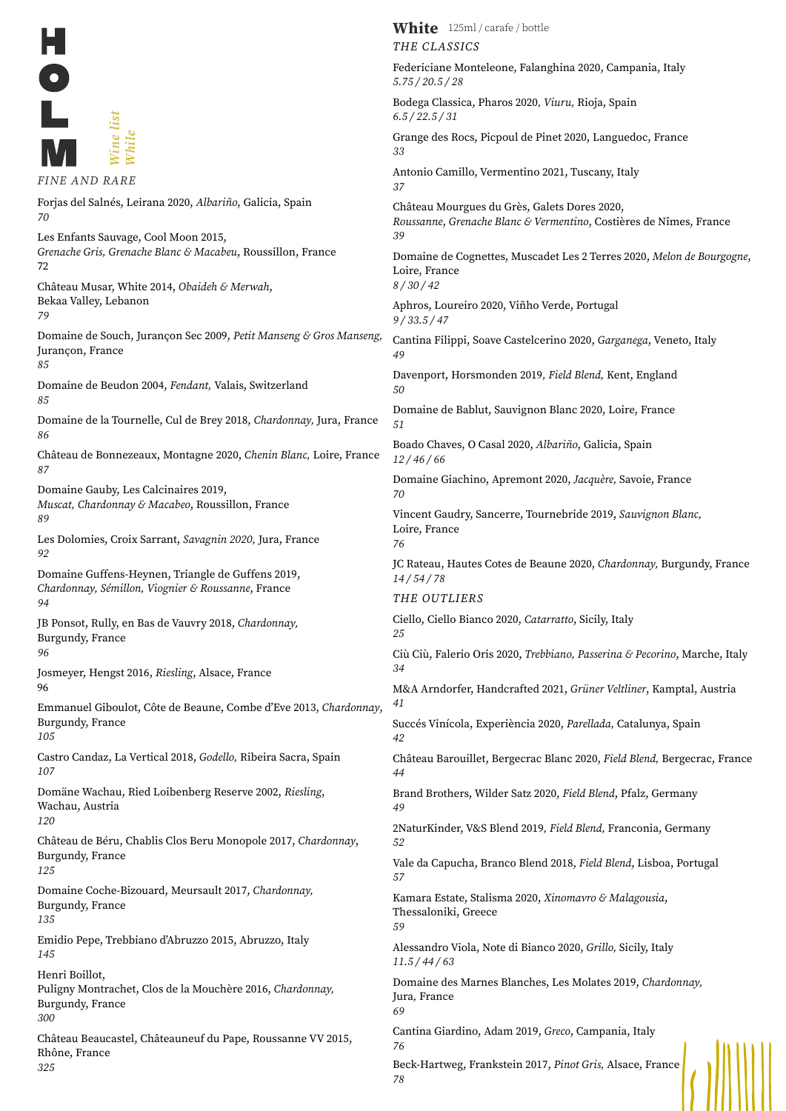|               | isi)     |
|---------------|----------|
|               | $7$ hile |
| FINE AND RARE |          |

*37 39* Loire, France *8 / 30 / 42 9 / 33.5 / 47 49 50 51 12 / 46 / 66 70* Loire, France *76 14 / 54 / 78 25 34 41 42 44 49 52 57 59 11.5 / 44 / 63* Jura*,* France *69 76 78* Forjas del Salnés, Leirana 2020, *Albariño*, Galicia, Spain *70* Les Enfants Sauvage, Cool Moon 2015, *Grenache Gris, Grenache Blanc & Macabeu*, Roussillon, France 72 Château Musar, White 2014, *Obaideh & Merwah*, Bekaa Valley, Lebanon *79* Domaine de Souch, Jurançon Sec 2009, *Petit Manseng & Gros Manseng,*  Jurançon, France *85* Domaine de Beudon 2004, *Fendant,* Valais, Switzerland *85* Domaine de la Tournelle, Cul de Brey 2018, *Chardonnay,* Jura, France *86* Château de Bonnezeaux, Montagne 2020, *Chenin Blanc,* Loire, France *87* Domaine Gauby, Les Calcinaires 2019, *Muscat, Chardonnay & Macabeo*, Roussillon, France *89* Les Dolomies, Croix Sarrant, *Savagnin 2020,* Jura, France *92* Domaine Guffens-Heynen, Triangle de Guffens 2019, *Chardonnay, Sémillon, Viognier & Roussanne*, France *94* JB Ponsot, Rully, en Bas de Vauvry 2018, *Chardonnay,*  Burgundy, France *96* Josmeyer, Hengst 2016, *Riesling*, Alsace, France 96 Emmanuel Giboulot, Côte de Beaune, Combe d'Eve 2013, *Chardonnay*, Burgundy, France *105* Castro Candaz, La Vertical 2018, *Godello,* Ribeira Sacra, Spain *107* Domäne Wachau, Ried Loibenberg Reserve 2002, *Riesling*, Wachau, Austria *120* Château de Béru, Chablis Clos Beru Monopole 2017, *Chardonnay*, Burgundy, France *125* Domaine Coche-Bizouard, Meursault 2017, *Chardonnay,*  Burgundy, France *135* Emidio Pepe, Trebbiano d'Abruzzo 2015, Abruzzo, Italy *145* Henri Boillot, Puligny Montrachet, Clos de la Mouchère 2016, *Chardonnay,*  Burgundy, France *300* Château Beaucastel, Châteauneuf du Pape, Roussanne VV 2015, Rhône, France *325 FINE AND RARE*

*THE CLASSICS* Federiciane Monteleone, Falanghina 2020, Campania, Italy *5.75 / 20.5 / 28* Bodega Classica, Pharos 2020*, Viuru,* Rioja, Spain *6.5 / 22.5 / 31* Grange des Rocs, Picpoul de Pinet 2020, Languedoc, France *33* Antonio Camillo, Vermentino 2021, Tuscany, Italy Château Mourgues du Grès, Galets Dores 2020, *Roussanne*, *Grenache Blanc & Vermentino*, Costières de Nîmes, France Domaine de Cognettes, Muscadet Les 2 Terres 2020, *Melon de Bourgogne*, Aphros, Loureiro 2020, Viñho Verde, Portugal Cantina Filippi, Soave Castelcerino 2020, *Garganega*, Veneto, Italy Davenport, Horsmonden 2019*, Field Blend,* Kent, England Domaine de Bablut, Sauvignon Blanc 2020, Loire, France Boado Chaves, O Casal 2020, *Albariño*, Galicia, Spain Domaine Giachino, Apremont 2020, *Jacquère,* Savoie, France Vincent Gaudry, Sancerre, Tournebride 2019, *Sauvignon Blanc,* JC Rateau, Hautes Cotes de Beaune 2020, *Chardonnay,* Burgundy, France *THE OUTLIERS* Ciello, Ciello Bianco 2020, *Catarratto*, Sicily, Italy Ciù Ciù, Falerio Oris 2020, *Trebbiano, Passerina & Pecorino*, Marche, Italy M&A Arndorfer, Handcrafted 2021, *Grüner Veltliner*, Kamptal, Austria Succés Vinícola, Experiència 2020, *Parellada,* Catalunya, Spain Château Barouillet, Bergecrac Blanc 2020, *Field Blend,* Bergecrac, France Brand Brothers, Wilder Satz 2020, *Field Blend*, Pfalz, Germany 2NaturKinder, V&S Blend 2019*, Field Blend,* Franconia, Germany Vale da Capucha, Branco Blend 2018, *Field Blend*, Lisboa, Portugal Kamara Estate, Stalisma 2020, *Xinomavro & Malagousia*, Thessaloniki, Greece Alessandro Viola, Note di Bianco 2020, *Grillo,* Sicily, Italy Domaine des Marnes Blanches, Les Molates 2019, *Chardonnay,*  Cantina Giardino, Adam 2019, *Greco*, Campania, Italy Beck-Hartweg, Frankstein 2017, *Pinot Gris,* Alsace, France **White** 125ml / carafe / bottle